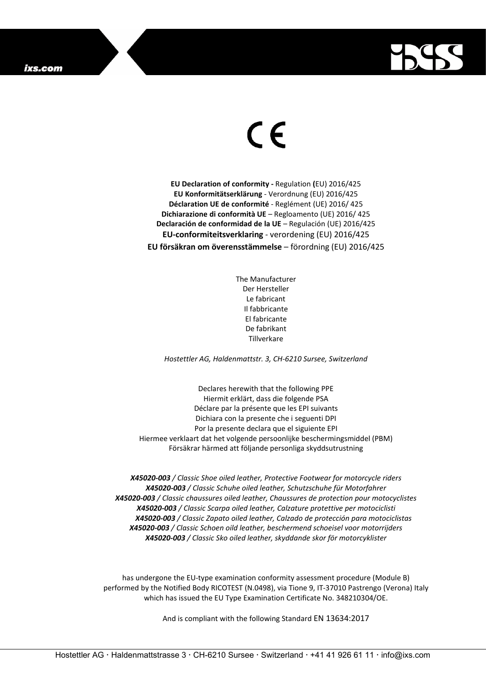

## $\epsilon$

**EU Declaration of conformity -** Regulation **(**EU) 2016/425 **EU Konformitätserklärung** - Verordnung (EU) 2016/425 **Déclaration UE de conformité** - Reglément (UE) 2016/ 425 **Dichiarazione di conformità UE** – Regloamento (UE) 2016/ 425 **Declaración de conformidad de la UE** – Regulación (UE) 2016/425 **EU-conformiteitsverklaring** - verordening (EU) 2016/425 **EU försäkran om överensstämmelse** – förordning (EU) 2016/425

> The Manufacturer Der Hersteller Le fabricant Il fabbricante El fabricante De fabrikant **Tillverkare**

*Hostettler AG, Haldenmattstr. 3, CH-6210 Sursee, Switzerland*

Declares herewith that the following PPE Hiermit erklärt, dass die folgende PSA Déclare par la présente que les EPI suivants Dichiara con la presente che i seguenti DPI Por la presente declara que el siguiente EPI Hiermee verklaart dat het volgende persoonlijke beschermingsmiddel (PBM) Försäkrar härmed att följande personliga skyddsutrustning

*X45020-003 / Classic Shoe oiled leather, Protective Footwear for motorcycle riders X45020-003 / Classic Schuhe oiled leather, Schutzschuhe für Motorfahrer X45020-003 / Classic chaussures oiled leather, Chaussures de protection pour motocyclistes X45020-003 / Classic Scarpa oiled leather, Calzature protettive per motociclisti X45020-003 / Classic Zapato oiled leather, Calzado de protección para motociclistas X45020-003 / Classic Schoen oild leather, beschermend schoeisel voor motorrijders X45020-003 / Classic Sko oiled leather, skyddande skor för motorcyklister*

has undergone the EU-type examination conformity assessment procedure (Module B) performed by the Notified Body RICOTEST (N.0498), via Tione 9, IT-37010 Pastrengo (Verona) Italy which has issued the EU Type Examination Certificate No. 348210304/OE.

And is compliant with the following Standard EN 13634:2017